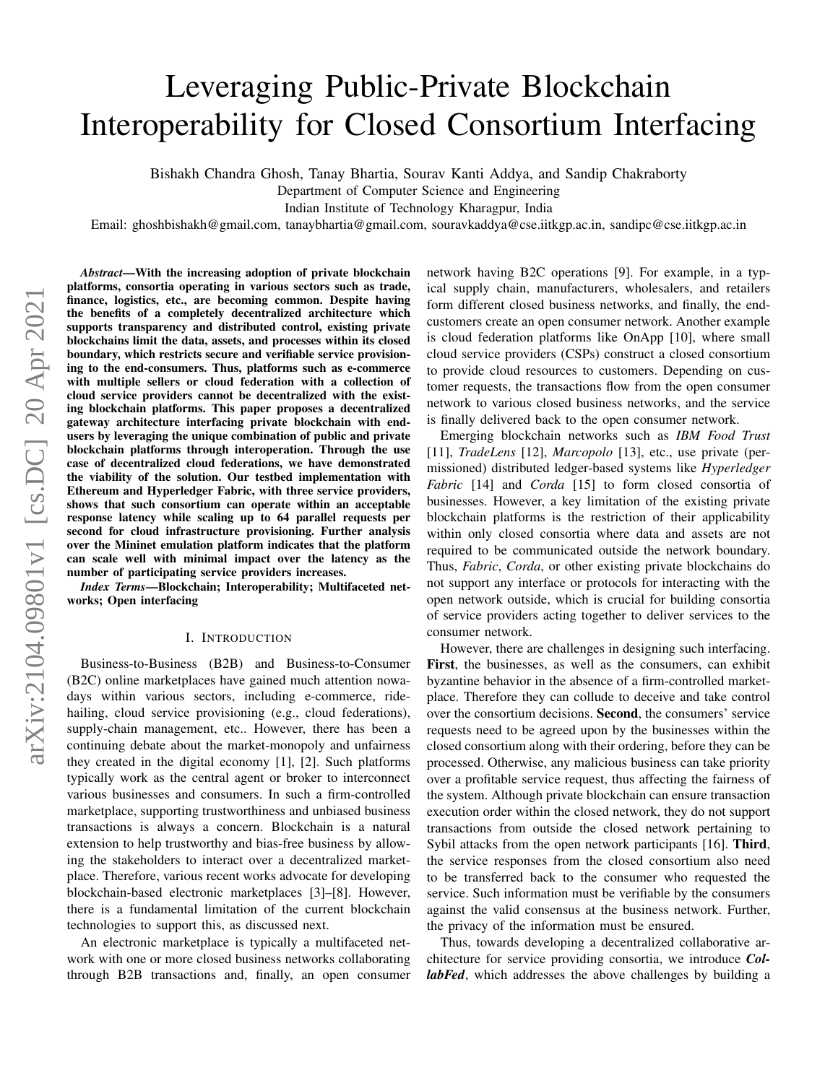# Leveraging Public-Private Blockchain Interoperability for Closed Consortium Interfacing

Bishakh Chandra Ghosh, Tanay Bhartia, Sourav Kanti Addya, and Sandip Chakraborty

Department of Computer Science and Engineering

Indian Institute of Technology Kharagpur, India

Email: ghoshbishakh@gmail.com, tanaybhartia@gmail.com, souravkaddya@cse.iitkgp.ac.in, sandipc@cse.iitkgp.ac.in

arXiv:2104.09801v1 [cs.DC] 20 Apr 2021 arXiv:2104.09801v1 [cs.DC] 20 Apr 2021

*Abstract*—With the increasing adoption of private blockchain platforms, consortia operating in various sectors such as trade, finance, logistics, etc., are becoming common. Despite having the benefits of a completely decentralized architecture which supports transparency and distributed control, existing private blockchains limit the data, assets, and processes within its closed boundary, which restricts secure and verifiable service provisioning to the end-consumers. Thus, platforms such as e-commerce with multiple sellers or cloud federation with a collection of cloud service providers cannot be decentralized with the existing blockchain platforms. This paper proposes a decentralized gateway architecture interfacing private blockchain with endusers by leveraging the unique combination of public and private blockchain platforms through interoperation. Through the use case of decentralized cloud federations, we have demonstrated the viability of the solution. Our testbed implementation with Ethereum and Hyperledger Fabric, with three service providers, shows that such consortium can operate within an acceptable response latency while scaling up to 64 parallel requests per second for cloud infrastructure provisioning. Further analysis over the Mininet emulation platform indicates that the platform can scale well with minimal impact over the latency as the number of participating service providers increases.

*Index Terms*—Blockchain; Interoperability; Multifaceted networks; Open interfacing

#### I. INTRODUCTION

Business-to-Business (B2B) and Business-to-Consumer (B2C) online marketplaces have gained much attention nowadays within various sectors, including e-commerce, ridehailing, cloud service provisioning (e.g., cloud federations), supply-chain management, etc.. However, there has been a continuing debate about the market-monopoly and unfairness they created in the digital economy [1], [2]. Such platforms typically work as the central agent or broker to interconnect various businesses and consumers. In such a firm-controlled marketplace, supporting trustworthiness and unbiased business transactions is always a concern. Blockchain is a natural extension to help trustworthy and bias-free business by allowing the stakeholders to interact over a decentralized marketplace. Therefore, various recent works advocate for developing blockchain-based electronic marketplaces [3]–[8]. However, there is a fundamental limitation of the current blockchain technologies to support this, as discussed next.

An electronic marketplace is typically a multifaceted network with one or more closed business networks collaborating through B2B transactions and, finally, an open consumer network having B2C operations [9]. For example, in a typical supply chain, manufacturers, wholesalers, and retailers form different closed business networks, and finally, the endcustomers create an open consumer network. Another example is cloud federation platforms like OnApp [10], where small cloud service providers (CSPs) construct a closed consortium to provide cloud resources to customers. Depending on customer requests, the transactions flow from the open consumer network to various closed business networks, and the service is finally delivered back to the open consumer network.

Emerging blockchain networks such as *IBM Food Trust* [11], *TradeLens* [12], *Marcopolo* [13], etc., use private (permissioned) distributed ledger-based systems like *Hyperledger Fabric* [14] and *Corda* [15] to form closed consortia of businesses. However, a key limitation of the existing private blockchain platforms is the restriction of their applicability within only closed consortia where data and assets are not required to be communicated outside the network boundary. Thus, *Fabric*, *Corda*, or other existing private blockchains do not support any interface or protocols for interacting with the open network outside, which is crucial for building consortia of service providers acting together to deliver services to the consumer network.

However, there are challenges in designing such interfacing. First, the businesses, as well as the consumers, can exhibit byzantine behavior in the absence of a firm-controlled marketplace. Therefore they can collude to deceive and take control over the consortium decisions. Second, the consumers' service requests need to be agreed upon by the businesses within the closed consortium along with their ordering, before they can be processed. Otherwise, any malicious business can take priority over a profitable service request, thus affecting the fairness of the system. Although private blockchain can ensure transaction execution order within the closed network, they do not support transactions from outside the closed network pertaining to Sybil attacks from the open network participants [16]. Third, the service responses from the closed consortium also need to be transferred back to the consumer who requested the service. Such information must be verifiable by the consumers against the valid consensus at the business network. Further, the privacy of the information must be ensured.

Thus, towards developing a decentralized collaborative architecture for service providing consortia, we introduce *CollabFed*, which addresses the above challenges by building a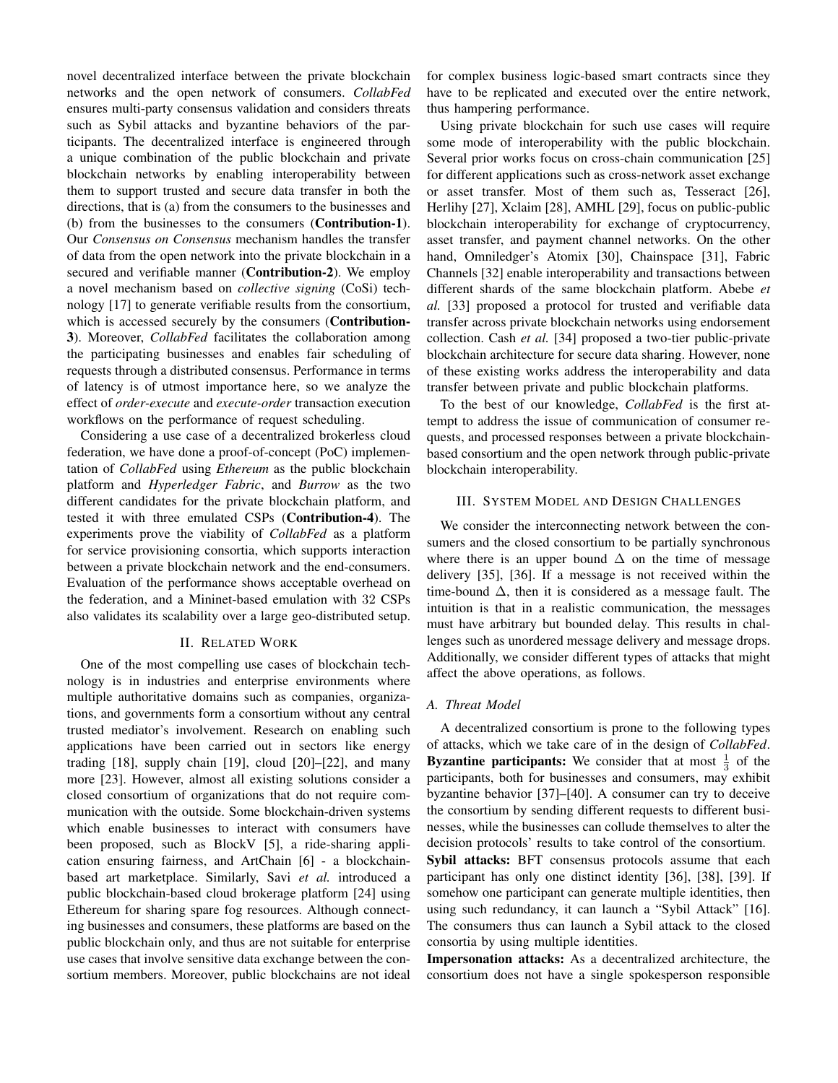novel decentralized interface between the private blockchain networks and the open network of consumers. *CollabFed* ensures multi-party consensus validation and considers threats such as Sybil attacks and byzantine behaviors of the participants. The decentralized interface is engineered through a unique combination of the public blockchain and private blockchain networks by enabling interoperability between them to support trusted and secure data transfer in both the directions, that is (a) from the consumers to the businesses and (b) from the businesses to the consumers (Contribution-1). Our *Consensus on Consensus* mechanism handles the transfer of data from the open network into the private blockchain in a secured and verifiable manner (Contribution-2). We employ a novel mechanism based on *collective signing* (CoSi) technology [17] to generate verifiable results from the consortium, which is accessed securely by the consumers (**Contribution-**3). Moreover, *CollabFed* facilitates the collaboration among the participating businesses and enables fair scheduling of requests through a distributed consensus. Performance in terms of latency is of utmost importance here, so we analyze the effect of *order-execute* and *execute-order* transaction execution workflows on the performance of request scheduling.

Considering a use case of a decentralized brokerless cloud federation, we have done a proof-of-concept (PoC) implementation of *CollabFed* using *Ethereum* as the public blockchain platform and *Hyperledger Fabric*, and *Burrow* as the two different candidates for the private blockchain platform, and tested it with three emulated CSPs (Contribution-4). The experiments prove the viability of *CollabFed* as a platform for service provisioning consortia, which supports interaction between a private blockchain network and the end-consumers. Evaluation of the performance shows acceptable overhead on the federation, and a Mininet-based emulation with 32 CSPs also validates its scalability over a large geo-distributed setup.

#### II. RELATED WORK

One of the most compelling use cases of blockchain technology is in industries and enterprise environments where multiple authoritative domains such as companies, organizations, and governments form a consortium without any central trusted mediator's involvement. Research on enabling such applications have been carried out in sectors like energy trading [18], supply chain [19], cloud [20]–[22], and many more [23]. However, almost all existing solutions consider a closed consortium of organizations that do not require communication with the outside. Some blockchain-driven systems which enable businesses to interact with consumers have been proposed, such as BlockV [5], a ride-sharing application ensuring fairness, and ArtChain [6] - a blockchainbased art marketplace. Similarly, Savi *et al.* introduced a public blockchain-based cloud brokerage platform [24] using Ethereum for sharing spare fog resources. Although connecting businesses and consumers, these platforms are based on the public blockchain only, and thus are not suitable for enterprise use cases that involve sensitive data exchange between the consortium members. Moreover, public blockchains are not ideal

for complex business logic-based smart contracts since they have to be replicated and executed over the entire network, thus hampering performance.

Using private blockchain for such use cases will require some mode of interoperability with the public blockchain. Several prior works focus on cross-chain communication [25] for different applications such as cross-network asset exchange or asset transfer. Most of them such as, Tesseract [26], Herlihy [27], Xclaim [28], AMHL [29], focus on public-public blockchain interoperability for exchange of cryptocurrency, asset transfer, and payment channel networks. On the other hand, Omniledger's Atomix [30], Chainspace [31], Fabric Channels [32] enable interoperability and transactions between different shards of the same blockchain platform. Abebe *et al.* [33] proposed a protocol for trusted and verifiable data transfer across private blockchain networks using endorsement collection. Cash *et al.* [34] proposed a two-tier public-private blockchain architecture for secure data sharing. However, none of these existing works address the interoperability and data transfer between private and public blockchain platforms.

To the best of our knowledge, *CollabFed* is the first attempt to address the issue of communication of consumer requests, and processed responses between a private blockchainbased consortium and the open network through public-private blockchain interoperability.

#### III. SYSTEM MODEL AND DESIGN CHALLENGES

We consider the interconnecting network between the consumers and the closed consortium to be partially synchronous where there is an upper bound  $\Delta$  on the time of message delivery [35], [36]. If a message is not received within the time-bound  $\Delta$ , then it is considered as a message fault. The intuition is that in a realistic communication, the messages must have arbitrary but bounded delay. This results in challenges such as unordered message delivery and message drops. Additionally, we consider different types of attacks that might affect the above operations, as follows.

# *A. Threat Model*

A decentralized consortium is prone to the following types of attacks, which we take care of in the design of *CollabFed*. **Byzantine participants:** We consider that at most  $\frac{1}{3}$  of the participants, both for businesses and consumers, may exhibit byzantine behavior [37]–[40]. A consumer can try to deceive the consortium by sending different requests to different businesses, while the businesses can collude themselves to alter the decision protocols' results to take control of the consortium.

Sybil attacks: BFT consensus protocols assume that each participant has only one distinct identity [36], [38], [39]. If somehow one participant can generate multiple identities, then using such redundancy, it can launch a "Sybil Attack" [16]. The consumers thus can launch a Sybil attack to the closed consortia by using multiple identities.

Impersonation attacks: As a decentralized architecture, the consortium does not have a single spokesperson responsible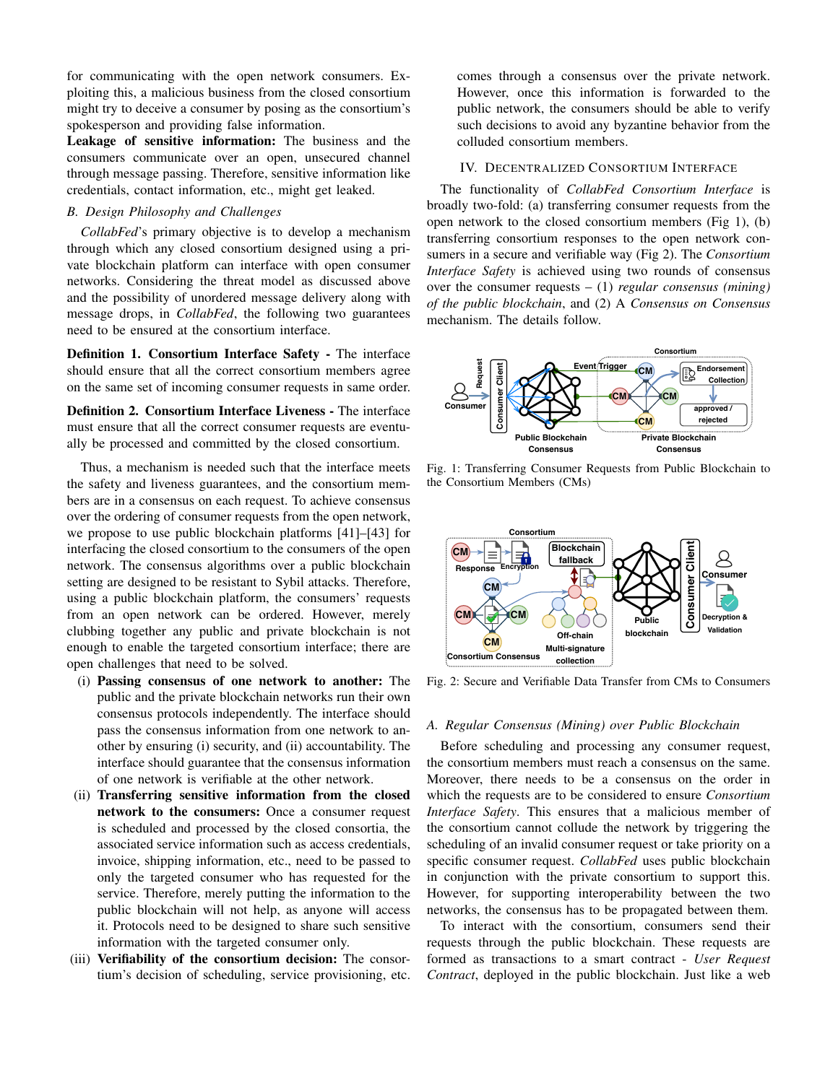for communicating with the open network consumers. Exploiting this, a malicious business from the closed consortium might try to deceive a consumer by posing as the consortium's spokesperson and providing false information.

Leakage of sensitive information: The business and the consumers communicate over an open, unsecured channel through message passing. Therefore, sensitive information like credentials, contact information, etc., might get leaked.

## *B. Design Philosophy and Challenges*

*CollabFed*'s primary objective is to develop a mechanism through which any closed consortium designed using a private blockchain platform can interface with open consumer networks. Considering the threat model as discussed above and the possibility of unordered message delivery along with message drops, in *CollabFed*, the following two guarantees need to be ensured at the consortium interface.

Definition 1. Consortium Interface Safety - The interface should ensure that all the correct consortium members agree on the same set of incoming consumer requests in same order.

Definition 2. Consortium Interface Liveness - The interface must ensure that all the correct consumer requests are eventually be processed and committed by the closed consortium.

Thus, a mechanism is needed such that the interface meets the safety and liveness guarantees, and the consortium members are in a consensus on each request. To achieve consensus over the ordering of consumer requests from the open network, we propose to use public blockchain platforms [41]–[43] for interfacing the closed consortium to the consumers of the open network. The consensus algorithms over a public blockchain setting are designed to be resistant to Sybil attacks. Therefore, using a public blockchain platform, the consumers' requests from an open network can be ordered. However, merely clubbing together any public and private blockchain is not enough to enable the targeted consortium interface; there are open challenges that need to be solved.

- (i) Passing consensus of one network to another: The public and the private blockchain networks run their own consensus protocols independently. The interface should pass the consensus information from one network to another by ensuring (i) security, and (ii) accountability. The interface should guarantee that the consensus information of one network is verifiable at the other network.
- (ii) Transferring sensitive information from the closed network to the consumers: Once a consumer request is scheduled and processed by the closed consortia, the associated service information such as access credentials, invoice, shipping information, etc., need to be passed to only the targeted consumer who has requested for the service. Therefore, merely putting the information to the public blockchain will not help, as anyone will access it. Protocols need to be designed to share such sensitive information with the targeted consumer only.
- (iii) Verifiability of the consortium decision: The consortium's decision of scheduling, service provisioning, etc.

comes through a consensus over the private network. However, once this information is forwarded to the public network, the consumers should be able to verify such decisions to avoid any byzantine behavior from the colluded consortium members.

# IV. DECENTRALIZED CONSORTIUM INTERFACE

The functionality of *CollabFed Consortium Interface* is broadly two-fold: (a) transferring consumer requests from the open network to the closed consortium members (Fig 1), (b) transferring consortium responses to the open network consumers in a secure and verifiable way (Fig 2). The *Consortium Interface Safety* is achieved using two rounds of consensus over the consumer requests – (1) *regular consensus (mining) of the public blockchain*, and (2) A *Consensus on Consensus* mechanism. The details follow.



Fig. 1: Transferring Consumer Requests from Public Blockchain to the Consortium Members (CMs)



Fig. 2: Secure and Verifiable Data Transfer from CMs to Consumers

#### *A. Regular Consensus (Mining) over Public Blockchain*

Before scheduling and processing any consumer request, the consortium members must reach a consensus on the same. Moreover, there needs to be a consensus on the order in which the requests are to be considered to ensure *Consortium Interface Safety*. This ensures that a malicious member of the consortium cannot collude the network by triggering the scheduling of an invalid consumer request or take priority on a specific consumer request. *CollabFed* uses public blockchain in conjunction with the private consortium to support this. However, for supporting interoperability between the two networks, the consensus has to be propagated between them.

To interact with the consortium, consumers send their requests through the public blockchain. These requests are formed as transactions to a smart contract - *User Request Contract*, deployed in the public blockchain. Just like a web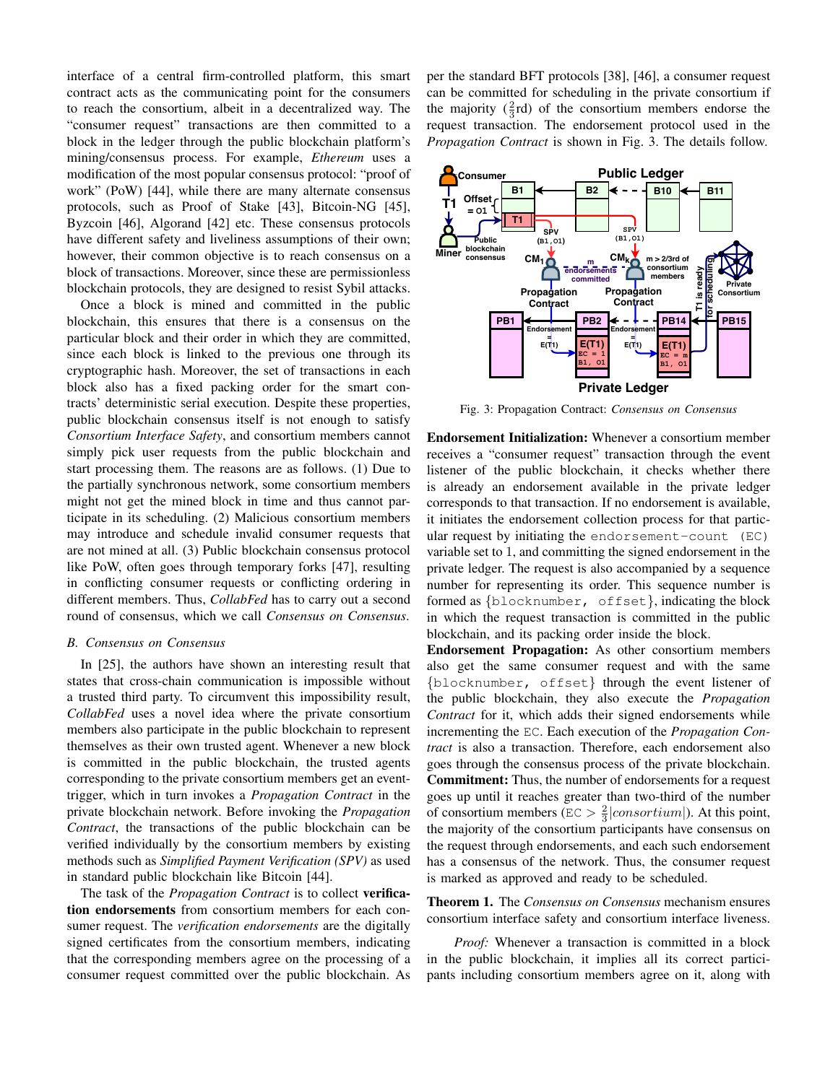interface of a central firm-controlled platform, this smart contract acts as the communicating point for the consumers to reach the consortium, albeit in a decentralized way. The "consumer request" transactions are then committed to a block in the ledger through the public blockchain platform's mining/consensus process. For example, *Ethereum* uses a modification of the most popular consensus protocol: "proof of work" (PoW) [44], while there are many alternate consensus protocols, such as Proof of Stake [43], Bitcoin-NG [45], Byzcoin [46], Algorand [42] etc. These consensus protocols have different safety and liveliness assumptions of their own; however, their common objective is to reach consensus on a block of transactions. Moreover, since these are permissionless blockchain protocols, they are designed to resist Sybil attacks.

Once a block is mined and committed in the public blockchain, this ensures that there is a consensus on the particular block and their order in which they are committed, since each block is linked to the previous one through its cryptographic hash. Moreover, the set of transactions in each block also has a fixed packing order for the smart contracts' deterministic serial execution. Despite these properties, public blockchain consensus itself is not enough to satisfy *Consortium Interface Safety*, and consortium members cannot simply pick user requests from the public blockchain and start processing them. The reasons are as follows. (1) Due to the partially synchronous network, some consortium members might not get the mined block in time and thus cannot participate in its scheduling. (2) Malicious consortium members may introduce and schedule invalid consumer requests that are not mined at all. (3) Public blockchain consensus protocol like PoW, often goes through temporary forks [47], resulting in conflicting consumer requests or conflicting ordering in different members. Thus, *CollabFed* has to carry out a second round of consensus, which we call *Consensus on Consensus*.

# *B. Consensus on Consensus*

In [25], the authors have shown an interesting result that states that cross-chain communication is impossible without a trusted third party. To circumvent this impossibility result, *CollabFed* uses a novel idea where the private consortium members also participate in the public blockchain to represent themselves as their own trusted agent. Whenever a new block is committed in the public blockchain, the trusted agents corresponding to the private consortium members get an eventtrigger, which in turn invokes a *Propagation Contract* in the private blockchain network. Before invoking the *Propagation Contract*, the transactions of the public blockchain can be verified individually by the consortium members by existing methods such as *Simplified Payment Verification (SPV)* as used in standard public blockchain like Bitcoin [44].

The task of the *Propagation Contract* is to collect verification endorsements from consortium members for each consumer request. The *verification endorsements* are the digitally signed certificates from the consortium members, indicating that the corresponding members agree on the processing of a consumer request committed over the public blockchain. As per the standard BFT protocols [38], [46], a consumer request can be committed for scheduling in the private consortium if the majority  $(\frac{2}{3}rd)$  of the consortium members endorse the request transaction. The endorsement protocol used in the *Propagation Contract* is shown in Fig. 3. The details follow.



Fig. 3: Propagation Contract: *Consensus on Consensus*

Endorsement Initialization: Whenever a consortium member receives a "consumer request" transaction through the event listener of the public blockchain, it checks whether there is already an endorsement available in the private ledger corresponds to that transaction. If no endorsement is available, it initiates the endorsement collection process for that particular request by initiating the endorsement-count (EC) variable set to 1, and committing the signed endorsement in the private ledger. The request is also accompanied by a sequence number for representing its order. This sequence number is formed as {blocknumber, offset}, indicating the block in which the request transaction is committed in the public blockchain, and its packing order inside the block.

Endorsement Propagation: As other consortium members also get the same consumer request and with the same {blocknumber, offset} through the event listener of the public blockchain, they also execute the *Propagation Contract* for it, which adds their signed endorsements while incrementing the EC. Each execution of the *Propagation Contract* is also a transaction. Therefore, each endorsement also goes through the consensus process of the private blockchain. Commitment: Thus, the number of endorsements for a request goes up until it reaches greater than two-third of the number of consortium members (EC  $> \frac{2}{3} |consortium|$ ). At this point, the majority of the consortium participants have consensus on the request through endorsements, and each such endorsement has a consensus of the network. Thus, the consumer request is marked as approved and ready to be scheduled.

Theorem 1. The *Consensus on Consensus* mechanism ensures consortium interface safety and consortium interface liveness.

*Proof:* Whenever a transaction is committed in a block in the public blockchain, it implies all its correct participants including consortium members agree on it, along with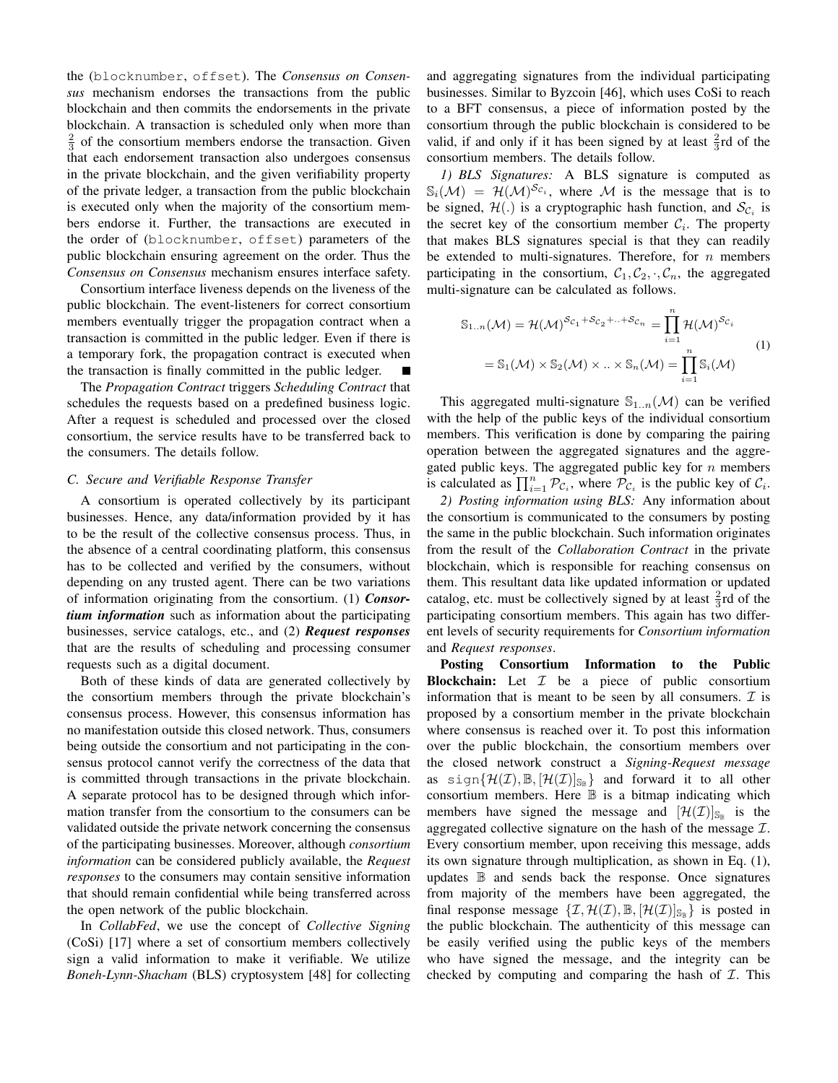the (blocknumber, offset). The *Consensus on Consensus* mechanism endorses the transactions from the public blockchain and then commits the endorsements in the private blockchain. A transaction is scheduled only when more than  $\frac{2}{3}$  of the consortium members endorse the transaction. Given that each endorsement transaction also undergoes consensus in the private blockchain, and the given verifiability property of the private ledger, a transaction from the public blockchain is executed only when the majority of the consortium members endorse it. Further, the transactions are executed in the order of (blocknumber, offset) parameters of the public blockchain ensuring agreement on the order. Thus the *Consensus on Consensus* mechanism ensures interface safety.

Consortium interface liveness depends on the liveness of the public blockchain. The event-listeners for correct consortium members eventually trigger the propagation contract when a transaction is committed in the public ledger. Even if there is a temporary fork, the propagation contract is executed when the transaction is finally committed in the public ledger.

The *Propagation Contract* triggers *Scheduling Contract* that schedules the requests based on a predefined business logic. After a request is scheduled and processed over the closed consortium, the service results have to be transferred back to the consumers. The details follow.

## *C. Secure and Verifiable Response Transfer*

A consortium is operated collectively by its participant businesses. Hence, any data/information provided by it has to be the result of the collective consensus process. Thus, in the absence of a central coordinating platform, this consensus has to be collected and verified by the consumers, without depending on any trusted agent. There can be two variations of information originating from the consortium. (1) *Consortium information* such as information about the participating businesses, service catalogs, etc., and (2) *Request responses* that are the results of scheduling and processing consumer requests such as a digital document.

Both of these kinds of data are generated collectively by the consortium members through the private blockchain's consensus process. However, this consensus information has no manifestation outside this closed network. Thus, consumers being outside the consortium and not participating in the consensus protocol cannot verify the correctness of the data that is committed through transactions in the private blockchain. A separate protocol has to be designed through which information transfer from the consortium to the consumers can be validated outside the private network concerning the consensus of the participating businesses. Moreover, although *consortium information* can be considered publicly available, the *Request responses* to the consumers may contain sensitive information that should remain confidential while being transferred across the open network of the public blockchain.

In *CollabFed*, we use the concept of *Collective Signing* (CoSi) [17] where a set of consortium members collectively sign a valid information to make it verifiable. We utilize *Boneh-Lynn-Shacham* (BLS) cryptosystem [48] for collecting and aggregating signatures from the individual participating businesses. Similar to Byzcoin [46], which uses CoSi to reach to a BFT consensus, a piece of information posted by the consortium through the public blockchain is considered to be valid, if and only if it has been signed by at least  $\frac{2}{3}$ rd of the consortium members. The details follow.

*1) BLS Signatures:* A BLS signature is computed as  $\mathbb{S}_i(\mathcal{M}) = \mathcal{H}(\mathcal{M})^{\mathcal{S}_{\mathcal{C}_i}}$ , where M is the message that is to be signed,  $\mathcal{H}(.)$  is a cryptographic hash function, and  $\mathcal{S}_{\mathcal{C}_i}$  is the secret key of the consortium member  $C_i$ . The property that makes BLS signatures special is that they can readily be extended to multi-signatures. Therefore, for  $n$  members participating in the consortium,  $C_1, C_2, \cdot, C_n$ , the aggregated multi-signature can be calculated as follows.

$$
S_{1..n}(\mathcal{M}) = \mathcal{H}(\mathcal{M})^{S_{C_1} + S_{C_2} + \dots + S_{C_n}} = \prod_{i=1}^n \mathcal{H}(\mathcal{M})^{S_{C_i}}
$$
  
= 
$$
S_1(\mathcal{M}) \times S_2(\mathcal{M}) \times \dots \times S_n(\mathcal{M}) = \prod_{i=1}^n S_i(\mathcal{M})
$$
 (1)

This aggregated multi-signature  $\mathbb{S}_{1..n}(\mathcal{M})$  can be verified with the help of the public keys of the individual consortium members. This verification is done by comparing the pairing operation between the aggregated signatures and the aggregated public keys. The aggregated public key for  $n$  members is calculated as  $\prod_{i=1}^{n} \mathcal{P}_{\mathcal{C}_i}$ , where  $\mathcal{P}_{\mathcal{C}_i}$  is the public key of  $\mathcal{C}_i$ .

*2) Posting information using BLS:* Any information about the consortium is communicated to the consumers by posting the same in the public blockchain. Such information originates from the result of the *Collaboration Contract* in the private blockchain, which is responsible for reaching consensus on them. This resultant data like updated information or updated catalog, etc. must be collectively signed by at least  $\frac{2}{3}$ rd of the participating consortium members. This again has two different levels of security requirements for *Consortium information* and *Request responses*.

Posting Consortium Information to the Public **Blockchain:** Let  $I$  be a piece of public consortium information that is meant to be seen by all consumers.  $\mathcal I$  is proposed by a consortium member in the private blockchain where consensus is reached over it. To post this information over the public blockchain, the consortium members over the closed network construct a *Signing-Request message* as sign $\{\mathcal{H}(\mathcal{I}), \mathbb{B}, [\mathcal{H}(\mathcal{I})]_{\mathbb{S}_{\mathbb{B}}}\}$  and forward it to all other consortium members. Here B is a bitmap indicating which members have signed the message and  $[\mathcal{H}(\mathcal{I})]_{\mathbb{S}_{\mathbb{B}}}$  is the aggregated collective signature on the hash of the message  $\mathcal{I}$ . Every consortium member, upon receiving this message, adds its own signature through multiplication, as shown in Eq. (1), updates B and sends back the response. Once signatures from majority of the members have been aggregated, the final response message  $\{\mathcal{I}, \mathcal{H}(\mathcal{I}), \mathbb{B}, [\mathcal{H}(\mathcal{I})]_{\mathbb{S}_{\mathbb{B}}} \}$  is posted in the public blockchain. The authenticity of this message can be easily verified using the public keys of the members who have signed the message, and the integrity can be checked by computing and comparing the hash of  $I$ . This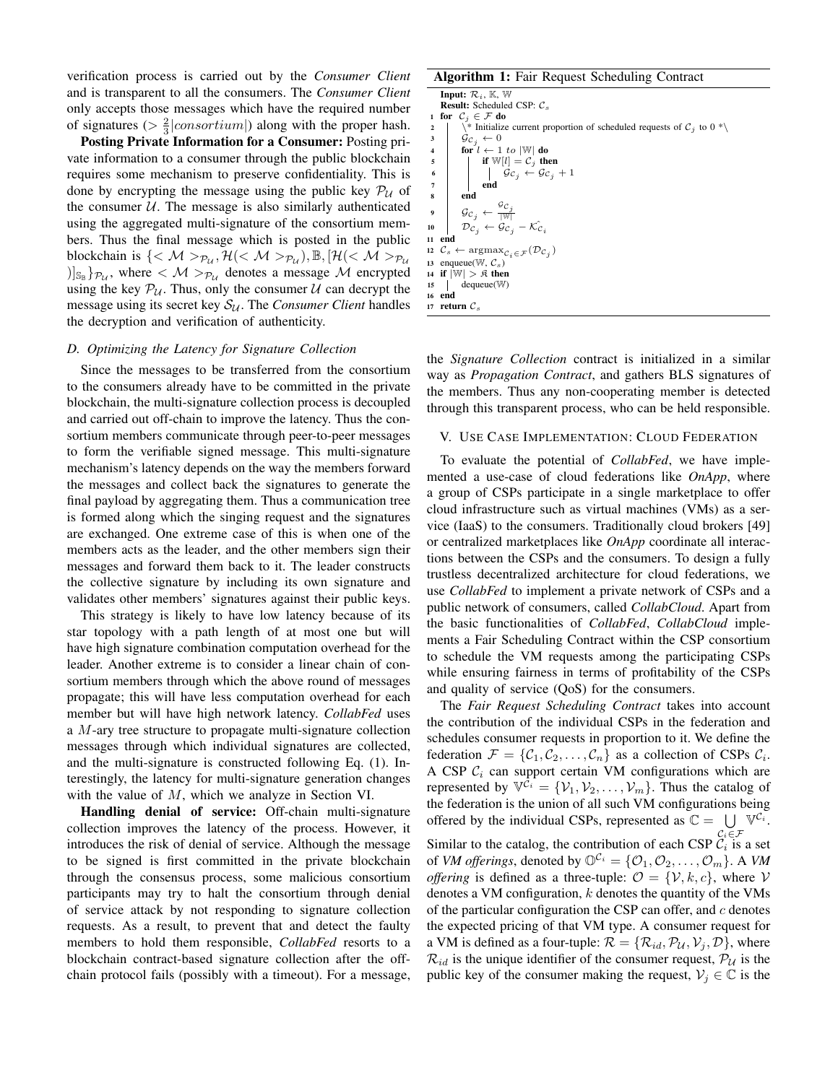verification process is carried out by the *Consumer Client* and is transparent to all the consumers. The *Consumer Client* only accepts those messages which have the required number of signatures ( $> \frac{2}{3} |consortium|$ ) along with the proper hash.

Posting Private Information for a Consumer: Posting private information to a consumer through the public blockchain requires some mechanism to preserve confidentiality. This is done by encrypting the message using the public key  $P_U$  of the consumer  $U$ . The message is also similarly authenticated using the aggregated multi-signature of the consortium members. Thus the final message which is posted in the public blockchain is  $\{<\mathcal{M}>_{\mathcal{P}_{\mathcal{U}}}, \mathcal{H}(<\mathcal{M}>_{\mathcal{P}_{\mathcal{U}}}), \mathbb{B}, [\mathcal{H}|<\mathcal{M}>_{\mathcal{P}_{\mathcal{U}}}$  $\left\{ \left\vert \mathbf{s}_{\mathbb{B}}\right. \right\} _{\mathcal{P}_{\mathcal{U}}}$ , where  $<\mathcal{M}>_{\mathcal{P}_{\mathcal{U}}}$  denotes a message  $\mathcal{M}$  encrypted using the key  $P_U$ . Thus, only the consumer U can decrypt the message using its secret key  $S_{\mathcal{U}}$ . The *Consumer Client* handles the decryption and verification of authenticity.

#### *D. Optimizing the Latency for Signature Collection*

Since the messages to be transferred from the consortium to the consumers already have to be committed in the private blockchain, the multi-signature collection process is decoupled and carried out off-chain to improve the latency. Thus the consortium members communicate through peer-to-peer messages to form the verifiable signed message. This multi-signature mechanism's latency depends on the way the members forward the messages and collect back the signatures to generate the final payload by aggregating them. Thus a communication tree is formed along which the singing request and the signatures are exchanged. One extreme case of this is when one of the members acts as the leader, and the other members sign their messages and forward them back to it. The leader constructs the collective signature by including its own signature and validates other members' signatures against their public keys.

This strategy is likely to have low latency because of its star topology with a path length of at most one but will have high signature combination computation overhead for the leader. Another extreme is to consider a linear chain of consortium members through which the above round of messages propagate; this will have less computation overhead for each member but will have high network latency. *CollabFed* uses a M-ary tree structure to propagate multi-signature collection messages through which individual signatures are collected, and the multi-signature is constructed following Eq. (1). Interestingly, the latency for multi-signature generation changes with the value of M, which we analyze in Section VI.

Handling denial of service: Off-chain multi-signature collection improves the latency of the process. However, it introduces the risk of denial of service. Although the message to be signed is first committed in the private blockchain through the consensus process, some malicious consortium participants may try to halt the consortium through denial of service attack by not responding to signature collection requests. As a result, to prevent that and detect the faulty members to hold them responsible, *CollabFed* resorts to a blockchain contract-based signature collection after the offchain protocol fails (possibly with a timeout). For a message,

# Algorithm 1: Fair Request Scheduling Contract

Input:  $\mathcal{R}_i$ ,  $\mathbb{K}$ ,  $\mathbb{W}$ **Result:** Scheduled CSP:  $C_s$ 1 for  $C_j \in \mathcal{F}$  do<br>
2 \\* Initialize current proportion of scheduled requests of  $C_j$  to 0 \*\  $\begin{array}{c|c}\n3 & \mathcal{G}_{\mathcal{C}_j} \leftarrow 0 \\
4 & \text{for } l \leftarrow 1\n\end{array}$ for  $l \leftarrow 1$  to  $|\mathbb{W}|$  do  $\begin{array}{c|c}\n5 & \text{if } W[l] = \mathcal{C}_j \text{ then} \\
6 & \text{if } \mathcal{G}_{\mathcal{C}_i} \leftarrow \mathcal{G}_{\mathcal{C}_i}\n\end{array}$ 6  $\begin{vmatrix} \vdots \\ 0 \end{vmatrix}$   $\begin{vmatrix} \vdots \\ \vdots \\ \vdots \\ \vdots \end{vmatrix}$   $\begin{vmatrix} \vdots \\ \vdots \\ \vdots \\ \vdots \end{vmatrix}$   $\begin{vmatrix} \vdots \\ \vdots \\ \vdots \\ \vdots \\ \vdots \end{vmatrix}$   $\begin{vmatrix} \vdots \\ \vdots \\ \vdots \\ \vdots \\ \vdots \end{vmatrix}$ 7 end 8 end  $\mathcal{G}c_j \leftarrow$  $\frac{\sigma_{\mathcal{C}_j}}{|{\mathbb{W}}|}$ 10  $D_{c_j} \leftarrow \mathcal{G}_{c_j} - \mathcal{K}_{c_i}$ 11 end 12  $\mathcal{C}_s \leftarrow \operatorname{argmax}_{\mathcal{C}_i \in \mathcal{F}}(\mathcal{D}_{\mathcal{C}_j})$ 13 enqueue( $\mathbb{W}, \mathcal{C}_s$ ) 14 if  $|\mathbb{W}| > 0$  then <sup>15</sup> dequeue(W) 16 end 17 return  $\mathcal{C}_s$ 

the *Signature Collection* contract is initialized in a similar way as *Propagation Contract*, and gathers BLS signatures of the members. Thus any non-cooperating member is detected through this transparent process, who can be held responsible.

# V. USE CASE IMPLEMENTATION: CLOUD FEDERATION

To evaluate the potential of *CollabFed*, we have implemented a use-case of cloud federations like *OnApp*, where a group of CSPs participate in a single marketplace to offer cloud infrastructure such as virtual machines (VMs) as a service (IaaS) to the consumers. Traditionally cloud brokers [49] or centralized marketplaces like *OnApp* coordinate all interactions between the CSPs and the consumers. To design a fully trustless decentralized architecture for cloud federations, we use *CollabFed* to implement a private network of CSPs and a public network of consumers, called *CollabCloud*. Apart from the basic functionalities of *CollabFed*, *CollabCloud* implements a Fair Scheduling Contract within the CSP consortium to schedule the VM requests among the participating CSPs while ensuring fairness in terms of profitability of the CSPs and quality of service (QoS) for the consumers.

The *Fair Request Scheduling Contract* takes into account the contribution of the individual CSPs in the federation and schedules consumer requests in proportion to it. We define the federation  $\mathcal{F} = \{ \mathcal{C}_1, \mathcal{C}_2, \dots, \mathcal{C}_n \}$  as a collection of CSPs  $\mathcal{C}_i$ . A CSP  $C_i$  can support certain VM configurations which are represented by  $\mathbb{V}^{\tilde{C}_i} = {\mathcal{V}_1, \mathcal{V}_2, \dots, \mathcal{V}_m}$ . Thus the catalog of the federation is the union of all such VM configurations being offered by the individual CSPs, represented as  $\mathbb{C} = \bigcup \mathbb{V}^{\mathcal{C}_i}$ .

Similar to the catalog, the contribution of each CSP  $C_i \in \mathcal{F}$  is a set of *VM offerings*, denoted by  $\mathbb{O}^{C_i} = \{O_1, O_2, \ldots, O_m\}$ . A *VM offering* is defined as a three-tuple:  $\mathcal{O} = \{V, k, c\}$ , where V denotes a VM configuration,  $k$  denotes the quantity of the VMs of the particular configuration the CSP can offer, and  $c$  denotes the expected pricing of that VM type. A consumer request for a VM is defined as a four-tuple:  $\mathcal{R} = \{ \mathcal{R}_{id}, \mathcal{P}_{\mathcal{U}}, \mathcal{V}_i, \mathcal{D} \}$ , where  $\mathcal{R}_{id}$  is the unique identifier of the consumer request,  $\mathcal{P}_U$  is the public key of the consumer making the request,  $V_i \in \mathbb{C}$  is the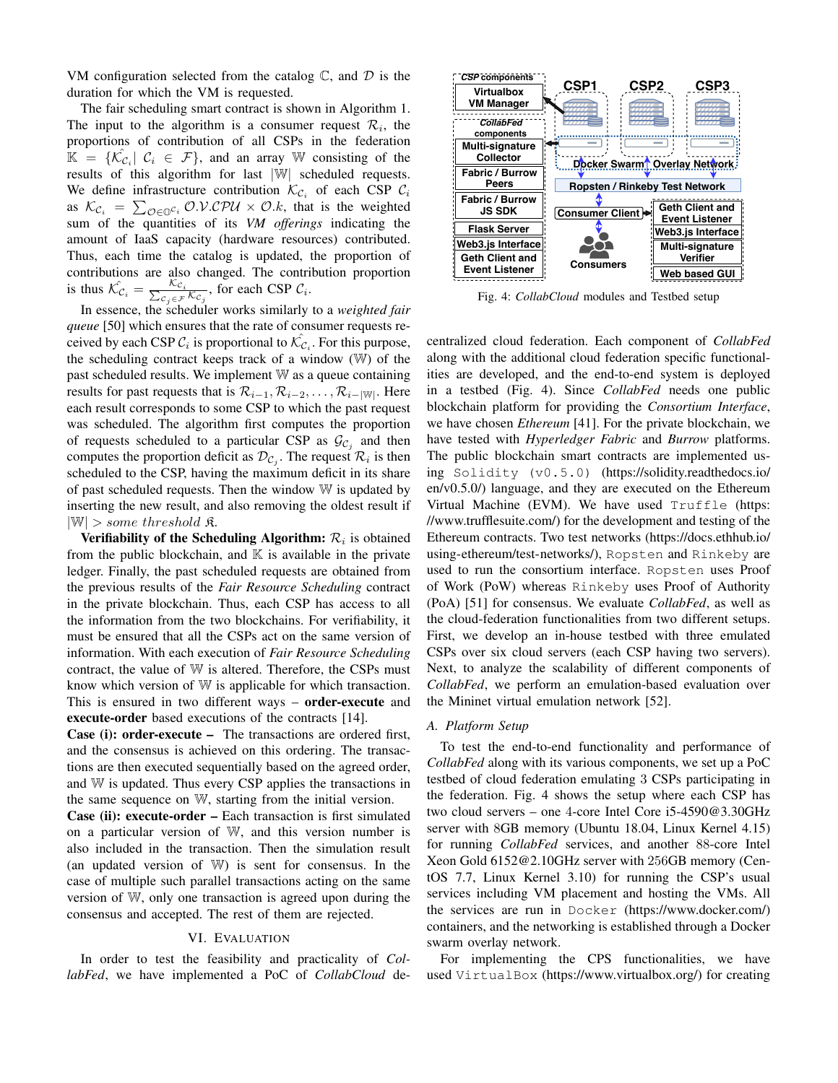VM configuration selected from the catalog  $\mathbb{C}$ , and  $\mathcal{D}$  is the duration for which the VM is requested.

The fair scheduling smart contract is shown in Algorithm 1. The input to the algorithm is a consumer request  $\mathcal{R}_i$ , the proportions of contribution of all CSPs in the federation  $\mathbb{K} = \{\hat{\mathcal{K}_{C_i}} | C_i \in \mathcal{F}\}\$ , and an array W consisting of the results of this algorithm for last |W| scheduled requests. We define infrastructure contribution  $\mathcal{K}_{\mathcal{C}_i}$  of each CSP  $\mathcal{C}_i$ as  $\mathcal{K}_{\mathcal{C}_i} = \sum_{\mathcal{O} \in \mathbb{O}^{\mathcal{C}_i}} \mathcal{O}.\mathcal{V}.\mathcal{C}\mathcal{P}\mathcal{U} \times \mathcal{O}.k$ , that is the weighted sum of the quantities of its *VM offerings* indicating the amount of IaaS capacity (hardware resources) contributed. Thus, each time the catalog is updated, the proportion of contributions are also changed. The contribution proportion is thus  $\hat{\mathcal{K}_{C_i}} = \frac{\mathcal{K}_{C_i}}{\sum_{C_i \in \mathcal{F}}$  $\frac{\kappa_{\mathcal{C}_i}}{\kappa_{\mathcal{C}_j} \in \mathcal{F}} \kappa_{\mathcal{C}_j}$ , for each CSP  $\mathcal{C}_i$ .

In essence, the scheduler works similarly to a *weighted fair queue* [50] which ensures that the rate of consumer requests received by each CSP  $C_i$  is proportional to  $\mathcal{K}_{C_i}$ . For this purpose, the scheduling contract keeps track of a window (W) of the past scheduled results. We implement W as a queue containing results for past requests that is  $\mathcal{R}_{i-1}, \mathcal{R}_{i-2}, \ldots, \mathcal{R}_{i-|\mathbb{W}|}$ . Here each result corresponds to some CSP to which the past request was scheduled. The algorithm first computes the proportion of requests scheduled to a particular CSP as  $\mathcal{G}_{C_j}$  and then computes the proportion deficit as  $\mathcal{D}_{\mathcal{C}_j}$ . The request  $\mathcal{R}_i$  is then scheduled to the CSP, having the maximum deficit in its share of past scheduled requests. Then the window W is updated by inserting the new result, and also removing the oldest result if  $|\mathbb{W}| >$  some threshold  $\mathfrak{K}$ .

Verifiability of the Scheduling Algorithm:  $\mathcal{R}_i$  is obtained from the public blockchain, and  $\mathbb K$  is available in the private ledger. Finally, the past scheduled requests are obtained from the previous results of the *Fair Resource Scheduling* contract in the private blockchain. Thus, each CSP has access to all the information from the two blockchains. For verifiability, it must be ensured that all the CSPs act on the same version of information. With each execution of *Fair Resource Scheduling* contract, the value of W is altered. Therefore, the CSPs must know which version of W is applicable for which transaction. This is ensured in two different ways – **order-execute** and execute-order based executions of the contracts [14].

Case (i): order-execute – The transactions are ordered first, and the consensus is achieved on this ordering. The transactions are then executed sequentially based on the agreed order, and W is updated. Thus every CSP applies the transactions in the same sequence on W, starting from the initial version.

Case (ii): execute-order – Each transaction is first simulated on a particular version of W, and this version number is also included in the transaction. Then the simulation result (an updated version of W) is sent for consensus. In the case of multiple such parallel transactions acting on the same version of W, only one transaction is agreed upon during the consensus and accepted. The rest of them are rejected.

# VI. EVALUATION

In order to test the feasibility and practicality of *CollabFed*, we have implemented a PoC of *CollabCloud* de-



Fig. 4: *CollabCloud* modules and Testbed setup

centralized cloud federation. Each component of *CollabFed* along with the additional cloud federation specific functionalities are developed, and the end-to-end system is deployed in a testbed (Fig. 4). Since *CollabFed* needs one public blockchain platform for providing the *Consortium Interface*, we have chosen *Ethereum* [41]. For the private blockchain, we have tested with *Hyperledger Fabric* and *Burrow* platforms. The public blockchain smart contracts are implemented using Solidity (v0.5.0) (https://solidity.readthedocs.io/ en/v0.5.0/) language, and they are executed on the Ethereum Virtual Machine (EVM). We have used Truffle (https: //www.trufflesuite.com/) for the development and testing of the Ethereum contracts. Two test networks (https://docs.ethhub.io/ using-ethereum/test-networks/), Ropsten and Rinkeby are used to run the consortium interface. Ropsten uses Proof of Work (PoW) whereas Rinkeby uses Proof of Authority (PoA) [51] for consensus. We evaluate *CollabFed*, as well as the cloud-federation functionalities from two different setups. First, we develop an in-house testbed with three emulated CSPs over six cloud servers (each CSP having two servers). Next, to analyze the scalability of different components of *CollabFed*, we perform an emulation-based evaluation over the Mininet virtual emulation network [52].

#### *A. Platform Setup*

To test the end-to-end functionality and performance of *CollabFed* along with its various components, we set up a PoC testbed of cloud federation emulating 3 CSPs participating in the federation. Fig. 4 shows the setup where each CSP has two cloud servers – one 4-core Intel Core i5-4590@3.30GHz server with 8GB memory (Ubuntu 18.04, Linux Kernel 4.15) for running *CollabFed* services, and another 88-core Intel Xeon Gold 6152@2.10GHz server with 256GB memory (CentOS 7.7, Linux Kernel 3.10) for running the CSP's usual services including VM placement and hosting the VMs. All the services are run in Docker (https://www.docker.com/) containers, and the networking is established through a Docker swarm overlay network.

For implementing the CPS functionalities, we have used VirtualBox (https://www.virtualbox.org/) for creating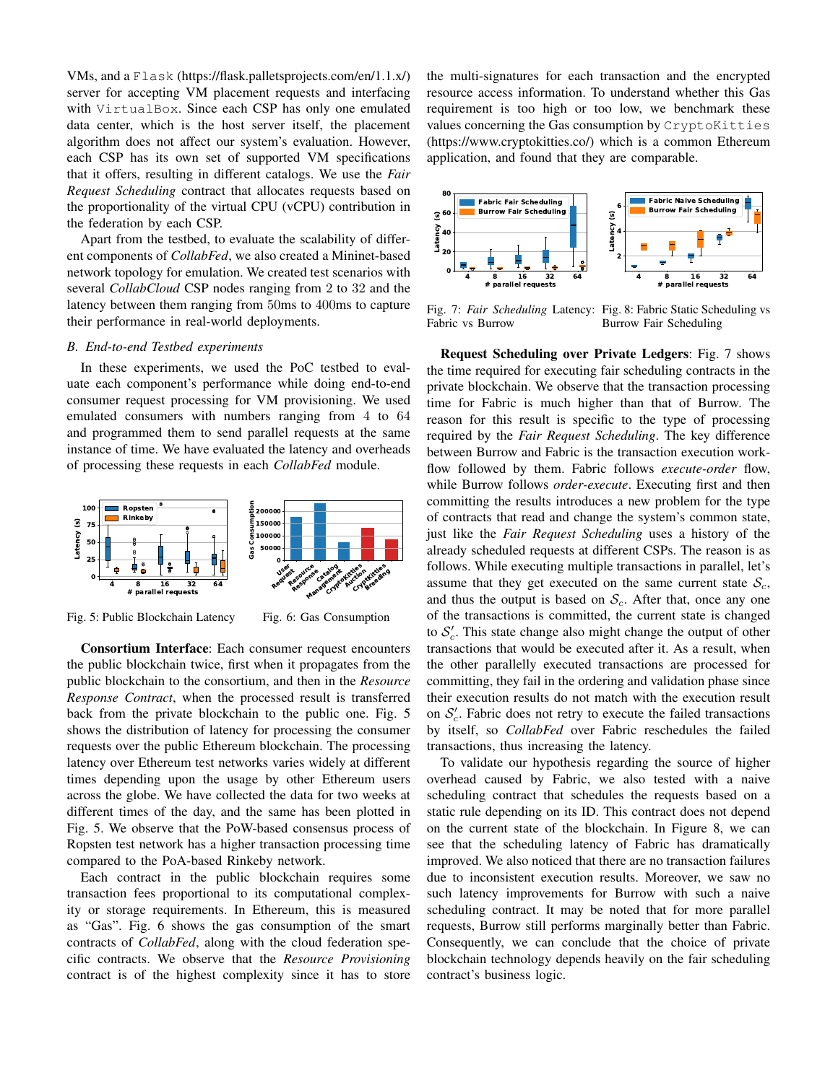VMs, and a Flask (https://flask.palletsprojects.com/en/1.1.x/) server for accepting VM placement requests and interfacing with VirtualBox. Since each CSP has only one emulated data center, which is the host server itself, the placement algorithm does not affect our system's evaluation. However, each CSP has its own set of supported VM specifications that it offers, resulting in different catalogs. We use the *Fair Request Scheduling* contract that allocates requests based on the proportionality of the virtual CPU (vCPU) contribution in the federation by each CSP.

Apart from the testbed, to evaluate the scalability of different components of *CollabFed*, we also created a Mininet-based network topology for emulation. We created test scenarios with several *CollabCloud* CSP nodes ranging from 2 to 32 and the latency between them ranging from 50ms to 400ms to capture their performance in real-world deployments.

# *B. End-to-end Testbed experiments*

In these experiments, we used the PoC testbed to evaluate each component's performance while doing end-to-end consumer request processing for VM provisioning. We used emulated consumers with numbers ranging from 4 to 64 and programmed them to send parallel requests at the same instance of time. We have evaluated the latency and overheads of processing these requests in each *CollabFed* module.



Fig. 5: Public Blockchain Latency

Fig. 6: Gas Consumption

Consortium Interface: Each consumer request encounters the public blockchain twice, first when it propagates from the public blockchain to the consortium, and then in the *Resource Response Contract*, when the processed result is transferred back from the private blockchain to the public one. Fig. 5 shows the distribution of latency for processing the consumer requests over the public Ethereum blockchain. The processing latency over Ethereum test networks varies widely at different times depending upon the usage by other Ethereum users across the globe. We have collected the data for two weeks at different times of the day, and the same has been plotted in Fig. 5. We observe that the PoW-based consensus process of Ropsten test network has a higher transaction processing time compared to the PoA-based Rinkeby network.

Each contract in the public blockchain requires some transaction fees proportional to its computational complexity or storage requirements. In Ethereum, this is measured as "Gas". Fig. 6 shows the gas consumption of the smart contracts of *CollabFed*, along with the cloud federation specific contracts. We observe that the *Resource Provisioning* contract is of the highest complexity since it has to store the multi-signatures for each transaction and the encrypted resource access information. To understand whether this Gas requirement is too high or too low, we benchmark these values concerning the Gas consumption by CryptoKitties (https://www.cryptokitties.co/) which is a common Ethereum application, and found that they are comparable.



Fig. 7: *Fair Scheduling* Latency: Fig. 8: Fabric Static Scheduling vs Fabric vs Burrow Burrow Fair Scheduling

Request Scheduling over Private Ledgers: Fig. 7 shows the time required for executing fair scheduling contracts in the private blockchain. We observe that the transaction processing time for Fabric is much higher than that of Burrow. The reason for this result is specific to the type of processing required by the *Fair Request Scheduling*. The key difference between Burrow and Fabric is the transaction execution workflow followed by them. Fabric follows *execute-order* flow, while Burrow follows *order-execute*. Executing first and then committing the results introduces a new problem for the type of contracts that read and change the system's common state, just like the *Fair Request Scheduling* uses a history of the already scheduled requests at different CSPs. The reason is as follows. While executing multiple transactions in parallel, let's assume that they get executed on the same current state  $\mathcal{S}_c$ , and thus the output is based on  $S_c$ . After that, once any one of the transactions is committed, the current state is changed to  $S_c'$ . This state change also might change the output of other transactions that would be executed after it. As a result, when the other parallelly executed transactions are processed for committing, they fail in the ordering and validation phase since their execution results do not match with the execution result on  $S_c'$ . Fabric does not retry to execute the failed transactions by itself, so *CollabFed* over Fabric reschedules the failed transactions, thus increasing the latency.

To validate our hypothesis regarding the source of higher overhead caused by Fabric, we also tested with a naive scheduling contract that schedules the requests based on a static rule depending on its ID. This contract does not depend on the current state of the blockchain. In Figure 8, we can see that the scheduling latency of Fabric has dramatically improved. We also noticed that there are no transaction failures due to inconsistent execution results. Moreover, we saw no such latency improvements for Burrow with such a naive scheduling contract. It may be noted that for more parallel requests, Burrow still performs marginally better than Fabric. Consequently, we can conclude that the choice of private blockchain technology depends heavily on the fair scheduling contract's business logic.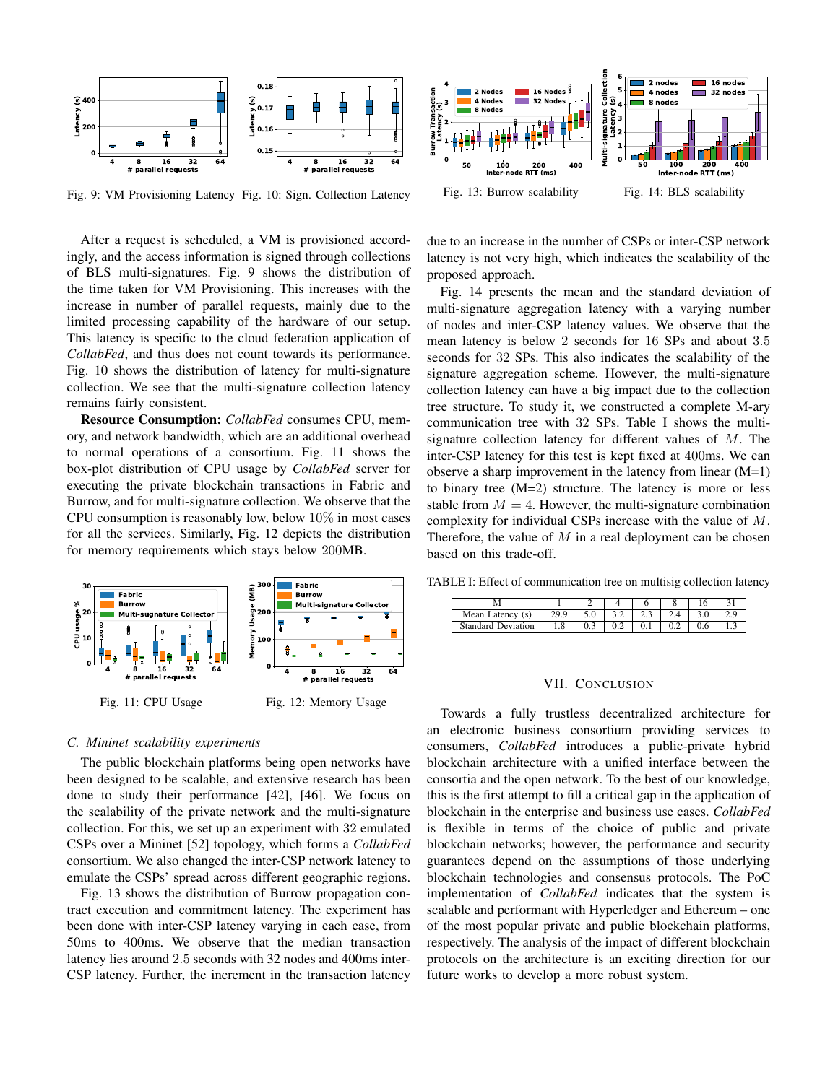

Fig. 9: VM Provisioning Latency Fig. 10: Sign. Collection Latency

After a request is scheduled, a VM is provisioned accordingly, and the access information is signed through collections of BLS multi-signatures. Fig. 9 shows the distribution of the time taken for VM Provisioning. This increases with the increase in number of parallel requests, mainly due to the limited processing capability of the hardware of our setup. This latency is specific to the cloud federation application of *CollabFed*, and thus does not count towards its performance. Fig. 10 shows the distribution of latency for multi-signature collection. We see that the multi-signature collection latency remains fairly consistent.

Resource Consumption: *CollabFed* consumes CPU, memory, and network bandwidth, which are an additional overhead to normal operations of a consortium. Fig. 11 shows the box-plot distribution of CPU usage by *CollabFed* server for executing the private blockchain transactions in Fabric and Burrow, and for multi-signature collection. We observe that the CPU consumption is reasonably low, below  $10\%$  in most cases for all the services. Similarly, Fig. 12 depicts the distribution for memory requirements which stays below 200MB.



#### *C. Mininet scalability experiments*

The public blockchain platforms being open networks have been designed to be scalable, and extensive research has been done to study their performance [42], [46]. We focus on the scalability of the private network and the multi-signature collection. For this, we set up an experiment with 32 emulated CSPs over a Mininet [52] topology, which forms a *CollabFed* consortium. We also changed the inter-CSP network latency to emulate the CSPs' spread across different geographic regions.

Fig. 13 shows the distribution of Burrow propagation contract execution and commitment latency. The experiment has been done with inter-CSP latency varying in each case, from 50ms to 400ms. We observe that the median transaction latency lies around 2.5 seconds with 32 nodes and 400ms inter-CSP latency. Further, the increment in the transaction latency



due to an increase in the number of CSPs or inter-CSP network latency is not very high, which indicates the scalability of the proposed approach.

Fig. 14 presents the mean and the standard deviation of multi-signature aggregation latency with a varying number of nodes and inter-CSP latency values. We observe that the mean latency is below 2 seconds for 16 SPs and about 3.5 seconds for 32 SPs. This also indicates the scalability of the signature aggregation scheme. However, the multi-signature collection latency can have a big impact due to the collection tree structure. To study it, we constructed a complete M-ary communication tree with 32 SPs. Table I shows the multisignature collection latency for different values of  $M$ . The inter-CSP latency for this test is kept fixed at 400ms. We can observe a sharp improvement in the latency from linear  $(M=1)$ to binary tree (M=2) structure. The latency is more or less stable from  $M = 4$ . However, the multi-signature combination complexity for individual CSPs increase with the value of M. Therefore, the value of  $M$  in a real deployment can be chosen based on this trade-off.

TABLE I: Effect of communication tree on multisig collection latency

| Mean Latency (s)          |     |     |     | <u>.</u> |  |  |
|---------------------------|-----|-----|-----|----------|--|--|
| <b>Standard Deviation</b> | 1.0 | U.J | ◡.∠ | v. i     |  |  |

#### VII. CONCLUSION

Towards a fully trustless decentralized architecture for an electronic business consortium providing services to consumers, *CollabFed* introduces a public-private hybrid blockchain architecture with a unified interface between the consortia and the open network. To the best of our knowledge, this is the first attempt to fill a critical gap in the application of blockchain in the enterprise and business use cases. *CollabFed* is flexible in terms of the choice of public and private blockchain networks; however, the performance and security guarantees depend on the assumptions of those underlying blockchain technologies and consensus protocols. The PoC implementation of *CollabFed* indicates that the system is scalable and performant with Hyperledger and Ethereum – one of the most popular private and public blockchain platforms, respectively. The analysis of the impact of different blockchain protocols on the architecture is an exciting direction for our future works to develop a more robust system.